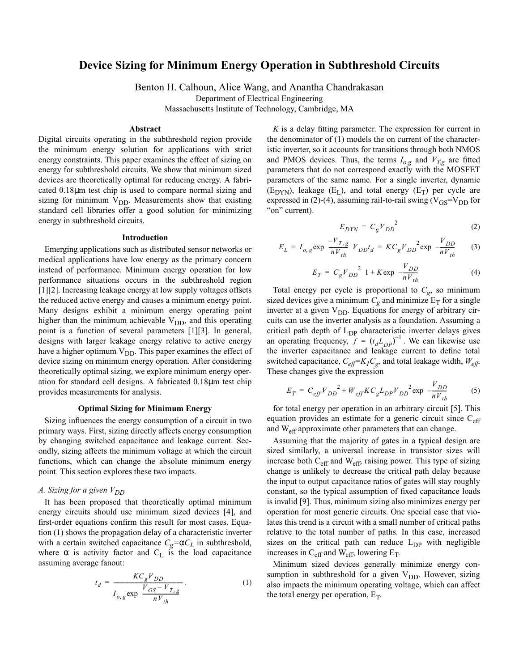# **Device Sizing for Minimum Energy Operation in Subthreshold Circuits**

Benton H. Calhoun, Alice Wang, and Anantha Chandrakasan

Department of Electrical Engineering

Massachusetts Institute of Technology, Cambridge, MA

## **Abstract**

Digital circuits operating in the subthreshold region provide the minimum energy solution for applications with strict energy constraints. This paper examines the effect of sizing on energy for subthreshold circuits. We show that minimum sized devices are theoretically optimal for reducing energy. A fabricated 0.18µm test chip is used to compare normal sizing and sizing for minimum  $V_{DD}$ . Measurements show that existing standard cell libraries offer a good solution for minimizing energy in subthreshold circuits.

# **Introduction**

Emerging applications such as distributed sensor networks or medical applications have low energy as the primary concern instead of performance. Minimum energy operation for low performance situations occurs in the subthreshold region [\[1\]](#page-3-0)[\[2\].](#page-3-1) Increasing leakage energy at low supply voltages offsets the reduced active energy and causes a minimum energy point. Many designs exhibit a minimum energy operating point higher than the minimum achievable  $V_{DD}$ , and this operating point is a function of several parameters [\[1\]](#page-3-0)[\[3\]](#page-3-2). In general, designs with larger leakage energy relative to active energy have a higher optimum  $V_{DD}$ . This paper examines the effect of device sizing on minimum energy operation. After considering theoretically optimal sizing, we explore minimum energy operation for standard cell designs. A fabricated 0.18µm test chip provides measurements for analysis.

# **Optimal Sizing for Minimum Energy**

Sizing influences the energy consumption of a circuit in two primary ways. First, sizing directly affects energy consumption by changing switched capacitance and leakage current. Secondly, sizing affects the minimum voltage at which the circuit functions, which can change the absolute minimum energy point. This section explores these two impacts.

# *A. Sizing for a given*  $V_{DD}$

<span id="page-0-0"></span>It has been proposed that theoretically optimal minimum energy circuits should use minimum sized devices [\[4\]](#page-3-3), and first-order equations confirm this result for most cases. Equation [\(1\)](#page-0-0) shows the propagation delay of a characteristic inverter with a certain switched capacitance  $C_g = \alpha C_L$  in subthreshold, where  $\alpha$  is activity factor and C<sub>L</sub> is the load capacitance assuming average fanout:

$$
t_{d} = \frac{KC_{g}V_{DD}}{I_{o,g} \exp\left(\frac{V_{GS} - V_{T,g}}{nV_{th}}\right)}.
$$
 (1)

*K* is a delay fitting parameter. The expression for current in the denominator of [\(1\)](#page-0-0) models the on current of the characteristic inverter, so it accounts for transitions through both NMOS and PMOS devices. Thus, the terms  $I_{o,g}$  and  $V_{T,g}$  are fitted parameters that do not correspond exactly with the MOSFET parameters of the same name. For a single inverter, dynamic  $(E_{DYN})$ , leakage  $(E_L)$ , and total energy  $(E_T)$  per cycle are expressed in [\(2\)](#page-0-1)-[\(4\)](#page-0-2), assuming rail-to-rail swing ( $V_{GS}=V_{DD}$  for "on" current).

$$
E_{DYN} = C_g V_{DD}^2 \tag{2}
$$

<span id="page-0-2"></span><span id="page-0-1"></span>
$$
E_L = I_{o, g} \exp\left(\frac{-V_{T, g}}{nV_{th}}\right) V_{DD} t_d = K C_g V_{DD}^2 \exp\left(\frac{V_{DD}}{nV_{th}}\right) \tag{3}
$$

$$
E_T = C_g V_{DD}^2 \left( 1 + K \exp\left(-\frac{V_{DD}}{nV_{th}}\right) \right) \tag{4}
$$

Total energy per cycle is proportional to  $C_g$ , so minimum sized devices give a minimum  $C_g$  and minimize  $E_T$  for a single inverter at a given  $V_{DD}$ . Equations for energy of arbitrary circuits can use the inverter analysis as a foundation. Assuming a critical path depth of  $L_{DP}$  characteristic inverter delays gives an operating frequency,  $f = (t_d L_{DP})^{-1}$ . We can likewise use the inverter capacitance and leakage current to define total switched capacitance,  $C_{\text{eff}}=K_{I}C_{g}$ , and total leakage width,  $W_{\text{eff}}$ . These changes give the expression

<span id="page-0-3"></span>
$$
E_T = C_{eff} V_{DD}^2 + W_{eff} K C_g L_{DP} V_{DD}^2 \exp\left(-\frac{V_{DD}}{nV_{th}}\right)
$$
 (5)

for total energy per operation in an arbitrary circuit [\[5\].](#page-3-5) This equation provides an estimate for a generic circuit since  $C_{\text{eff}}$ and  $W_{\text{eff}}$  approximate other parameters that can change.

Assuming that the majority of gates in a typical design are sized similarly, a universal increase in transistor sizes will increase both Ceff and Weff, raising power. This type of sizing change is unlikely to decrease the critical path delay because the input to output capacitance ratios of gates will stay roughly constant, so the typical assumption of fixed capacitance loads is invalid [\[9\]](#page-3-4). Thus, minimum sizing also minimizes energy per operation for most generic circuits. One special case that violates this trend is a circuit with a small number of critical paths relative to the total number of paths. In this case, increased sizes on the critical path can reduce  $L_{DP}$  with negligible increases in  $C_{\text{eff}}$  and W<sub>eff</sub>, lowering  $E_T$ .

Minimum sized devices generally minimize energy consumption in subthreshold for a given  $V_{DD}$ . However, sizing also impacts the minimum operating voltage, which can affect the total energy per operation,  $E_T$ .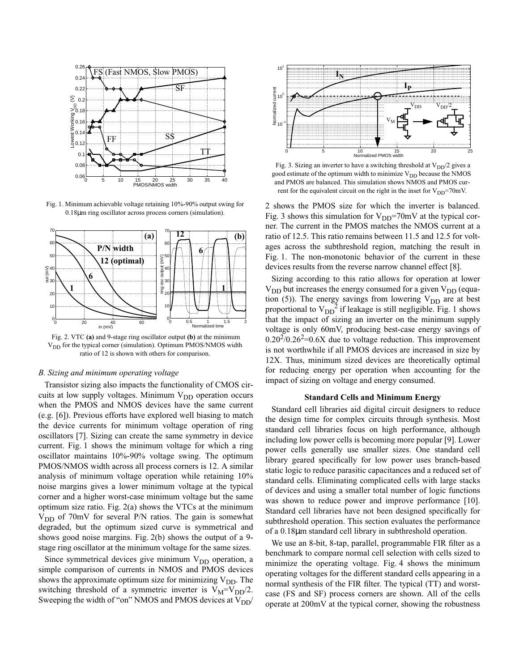

<span id="page-1-0"></span>Fig. 1. Minimum achievable voltage retaining 10%-90% output swing for 0.18µm ring oscillator across process corners (simulation).



<span id="page-1-1"></span> Fig. 2. VTC **(a)** and 9-stage ring oscillator output **(b)** at the minimum V<sub>DD</sub> for the typical corner (simulation). Optimum PMOS/NMOS width ratio of 12 is shown with others for comparison.

#### *B. Sizing and minimum operating voltage*

Transistor sizing also impacts the functionality of CMOS circuits at low supply voltages. Minimum  $V_{DD}$  operation occurs when the PMOS and NMOS devices have the same current (e.g. [\[6\]\)](#page-3-9). Previous efforts have explored well biasing to match the device currents for minimum voltage operation of ring oscillators [\[7\]](#page-3-6). Sizing can create the same symmetry in device current. [Fig. 1](#page-1-0) shows the minimum voltage for which a ring oscillator maintains 10%-90% voltage swing. The optimum PMOS/NMOS width across all process corners is 12. A similar analysis of minimum voltage operation while retaining 10% noise margins gives a lower minimum voltage at the typical corner and a higher worst-case minimum voltage but the same optimum size ratio. [Fig. 2](#page-1-1)(a) shows the VTCs at the minimum  $V_{DD}$  of 70mV for several P/N ratios. The gain is somewhat degraded, but the optimum sized curve is symmetrical and shows good noise margins. [Fig. 2\(](#page-1-1)b) shows the output of a 9 stage ring oscillator at the minimum voltage for the same sizes.

Since symmetrical devices give minimum  $V_{DD}$  operation, a simple comparison of currents in NMOS and PMOS devices shows the approximate optimum size for minimizing  $V_{DD}$ . The switching threshold of a symmetric inverter is  $V_M = V_{DD}/2$ . Sweeping the width of "on" NMOS and PMOS devices at  $V_{DD}$ 



<span id="page-1-2"></span>Fig. 3. Sizing an inverter to have a switching threshold at  $V_{DD}/2$  gives a good estimate of the optimum width to minimize  $V_{DD}$  because the NMOS and PMOS are balanced. This simulation shows NMOS and PMOS current for the equivalent circuit on the right in the inset for  $V_{DD}$ =70mV.

2 shows the PMOS size for which the inverter is balanced. [Fig. 3](#page-1-2) shows this simulation for  $V_{DD}$ =70mV at the typical corner. The current in the PMOS matches the NMOS current at a ratio of 12.5. This ratio remains between 11.5 and 12.5 for voltages across the subthreshold region, matching the result in [Fig. 1.](#page-1-0) The non-monotonic behavior of the current in these devices results from the reverse narrow channel effect [\[8\].](#page-3-7)

Sizing according to this ratio allows for operation at lower  $V_{DD}$  but increases the energy consumed for a given  $V_{DD}$  (equa-tion [\(5\)](#page-0-3)). The energy savings from lowering  $V_{DD}$  are at best proportional to  $V_{DD}^2$  if leakage is still negligible. [Fig. 1](#page-1-0) shows that the impact of sizing an inverter on the minimum supply voltage is only 60mV, producing best-case energy savings of  $0.20^{2}/0.26^{2}$ =0.6X due to voltage reduction. This improvement is not worthwhile if all PMOS devices are increased in size by 12X. Thus, minimum sized devices are theoretically optimal for reducing energy per operation when accounting for the impact of sizing on voltage and energy consumed.

#### **Standard Cells and Minimum Energy**

Standard cell libraries aid digital circuit designers to reduce the design time for complex circuits through synthesis. Most standard cell libraries focus on high performance, although including low power cells is becoming more popular [\[9\].](#page-3-4) Lower power cells generally use smaller sizes. One standard cell library geared specifically for low power uses branch-based static logic to reduce parasitic capacitances and a reduced set of standard cells. Eliminating complicated cells with large stacks of devices and using a smaller total number of logic functions was shown to reduce power and improve performance [\[10\]](#page-3-8). Standard cell libraries have not been designed specifically for subthreshold operation. This section evaluates the performance of a 0.18µm standard cell library in subthreshold operation.

We use an 8-bit, 8-tap, parallel, programmable FIR filter as a benchmark to compare normal cell selection with cells sized to minimize the operating voltage. [Fig. 4](#page-2-0) shows the minimum operating voltages for the different standard cells appearing in a normal synthesis of the FIR filter. The typical (TT) and worstcase (FS and SF) process corners are shown. All of the cells operate at 200mV at the typical corner, showing the robustness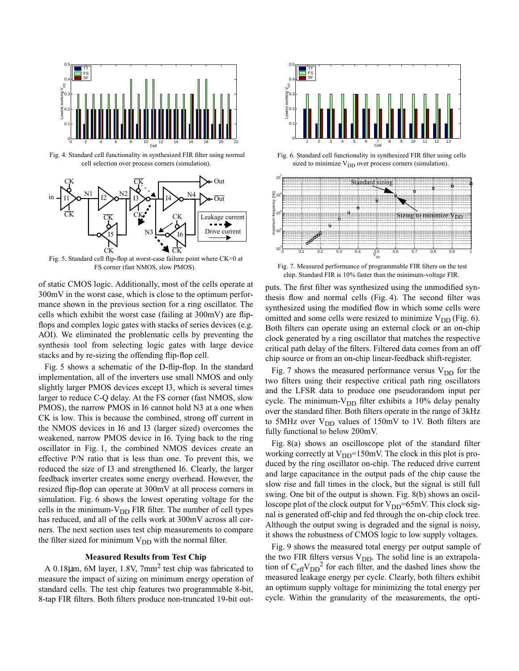

<span id="page-2-0"></span> Fig. 4. Standard cell functionality in synthesized FIR filter using normal cell selection over process corners (simulation).



<span id="page-2-2"></span> Fig. 5. Standard cell flip-flop at worst-case failure point where CK=0 at FS corner (fast NMOS, slow PMOS).

of static CMOS logic. Additionally, most of the cells operate at 300mV in the worst case, which is close to the optimum performance shown in the previous section for a ring oscillator. The cells which exhibit the worst case (failing at 300mV) are flipflops and complex logic gates with stacks of series devices (e.g. AOI). We eliminated the problematic cells by preventing the synthesis tool from selecting logic gates with large device stacks and by re-sizing the offending flip-flop cell.

[Fig. 5](#page-2-2) shows a schematic of the D-flip-flop. In the standard implementation, all of the inverters use small NMOS and only slightly larger PMOS devices except I3, which is several times larger to reduce C-Q delay. At the FS corner (fast NMOS, slow PMOS), the narrow PMOS in I6 cannot hold N3 at a one when CK is low. This is because the combined, strong off current in the NMOS devices in I6 and I3 (larger sized) overcomes the weakened, narrow PMOS device in I6. Tying back to the ring oscillator in [Fig. 1](#page-1-0), the combined NMOS devices create an effective P/N ratio that is less than one. To prevent this, we reduced the size of I3 and strengthened I6. Clearly, the larger feedback inverter creates some energy overhead. However, the resized flip-flop can operate at 300mV at all process corners in simulation. [Fig. 6](#page-2-3) shows the lowest operating voltage for the cells in the minimum- $V_{DD}$  FIR filter. The number of cell types has reduced, and all of the cells work at 300mV across all corners. The next section uses test chip measurements to compare the filter sized for minimum  $V_{DD}$  with the normal filter.

# **Measured Results from Test Chip**

A 0.18 $\mu$ m, 6M layer, 1.8V, 7 $\text{mm}^2$  test chip was fabricated to measure the impact of sizing on minimum energy operation of standard cells. The test chip features two programmable 8-bit, 8-tap FIR filters. Both filters produce non-truncated 19-bit out-



<span id="page-2-3"></span> Fig. 6. Standard cell functionality in synthesized FIR filter using cells sized to minimize  $V_{DD}$  over process corners (simulation).



<span id="page-2-1"></span> Fig. 7. Measured performance of programmable FIR filters on the test chip. Standard FIR is 10% faster than the minimum-voltage FIR.

puts. The first filter was synthesized using the unmodified synthesis flow and normal cells [\(Fig. 4\)](#page-2-0). The second filter was synthesized using the modified flow in which some cells were omitted and some cells were resized to minimize  $V_{DD}$  [\(Fig. 6\)](#page-2-3). Both filters can operate using an external clock or an on-chip clock generated by a ring oscillator that matches the respective critical path delay of the filters. Filtered data comes from an off chip source or from an on-chip linear-feedback shift-register.

[Fig. 7](#page-2-1) shows the measured performance versus  $V_{DD}$  for the two filters using their respective critical path ring oscillators and the LFSR data to produce one pseudorandom input per cycle. The minimum- $V_{DD}$  filter exhibits a 10% delay penalty over the standard filter. Both filters operate in the range of 3kHz to 5MHz over  $V_{DD}$  values of 150mV to 1V. Both filters are fully functional to below 200mV.

[Fig. 8\(](#page-3-11)a) shows an oscilloscope plot of the standard filter working correctly at  $V_{DD}$ =150mV. The clock in this plot is produced by the ring oscillator on-chip. The reduced drive current and large capacitance in the output pads of the chip cause the slow rise and fall times in the clock, but the signal is still full swing. One bit of the output is shown. [Fig. 8](#page-3-11)(b) shows an oscilloscope plot of the clock output for  $V_{DD}$ =65mV. This clock signal is generated off-chip and fed through the on-chip clock tree. Although the output swing is degraded and the signal is noisy, it shows the robustness of CMOS logic to low supply voltages.

[Fig. 9](#page-3-10) shows the measured total energy per output sample of the two FIR filters versus  $V_{DD}$ . The solid line is an extrapolation of  $C_{\text{eff}}V_{\text{DD}}^2$  for each filter, and the dashed lines show the measured leakage energy per cycle. Clearly, both filters exhibit an optimum supply voltage for minimizing the total energy per cycle. Within the granularity of the measurements, the opti-